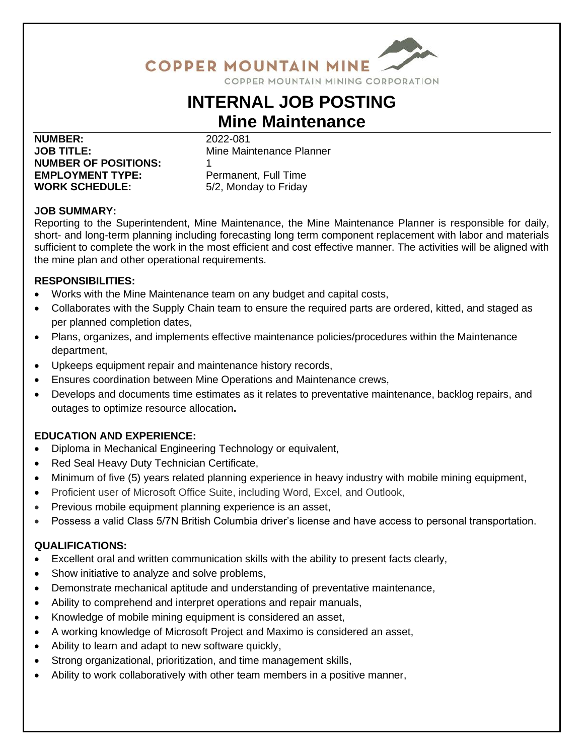

## COPPER MOUNTAIN MINING CORPORATION

# **INTERNAL JOB POSTING Mine Maintenance**

**NUMBER:** 2022-081 **JOB TITLE:** Mine Maintenance Planner **NUMBER OF POSITIONS:** 1 **EMPLOYMENT TYPE:** Permanent, Full Time **WORK SCHEDULE:** 5/2, Monday to Friday

### **JOB SUMMARY:**

Reporting to the Superintendent, Mine Maintenance, the Mine Maintenance Planner is responsible for daily, short- and long-term planning including forecasting long term component replacement with labor and materials sufficient to complete the work in the most efficient and cost effective manner. The activities will be aligned with the mine plan and other operational requirements.

### **RESPONSIBILITIES:**

- Works with the Mine Maintenance team on any budget and capital costs,
- Collaborates with the Supply Chain team to ensure the required parts are ordered, kitted, and staged as per planned completion dates,
- Plans, organizes, and implements effective maintenance policies/procedures within the Maintenance department,
- Upkeeps equipment repair and maintenance history records,
- Ensures coordination between Mine Operations and Maintenance crews,
- Develops and documents time estimates as it relates to preventative maintenance, backlog repairs, and outages to optimize resource allocation**.**

### **EDUCATION AND EXPERIENCE:**

- Diploma in Mechanical Engineering Technology or equivalent,
- Red Seal Heavy Duty Technician Certificate,
- Minimum of five (5) years related planning experience in heavy industry with mobile mining equipment,
- Proficient user of Microsoft Office Suite, including Word, Excel, and Outlook,
- Previous mobile equipment planning experience is an asset,
- Possess a valid Class 5/7N British Columbia driver's license and have access to personal transportation.

### **QUALIFICATIONS:**

- Excellent oral and written communication skills with the ability to present facts clearly,
- Show initiative to analyze and solve problems,
- Demonstrate mechanical aptitude and understanding of preventative maintenance,
- Ability to comprehend and interpret operations and repair manuals,
- Knowledge of mobile mining equipment is considered an asset,
- A working knowledge of Microsoft Project and Maximo is considered an asset,
- Ability to learn and adapt to new software quickly,
- Strong organizational, prioritization, and time management skills,
- Ability to work collaboratively with other team members in a positive manner,